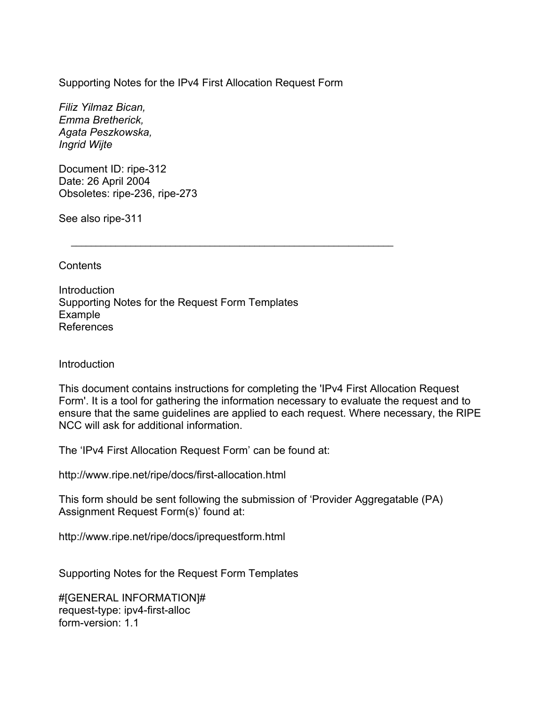Supporting Notes for the IPv4 First Allocation Request Form

 $\frac{1}{2}$  ,  $\frac{1}{2}$  ,  $\frac{1}{2}$  ,  $\frac{1}{2}$  ,  $\frac{1}{2}$  ,  $\frac{1}{2}$  ,  $\frac{1}{2}$  ,  $\frac{1}{2}$  ,  $\frac{1}{2}$  ,  $\frac{1}{2}$  ,  $\frac{1}{2}$  ,  $\frac{1}{2}$  ,  $\frac{1}{2}$  ,  $\frac{1}{2}$  ,  $\frac{1}{2}$  ,  $\frac{1}{2}$  ,  $\frac{1}{2}$  ,  $\frac{1}{2}$  ,  $\frac{1$ 

*Filiz Yilmaz Bican, Emma Bretherick, Agata Peszkowska, Ingrid Wijte*

Document ID: ripe-312 Date: 26 April 2004 Obsoletes: ripe-236, ripe-273

See also ripe-311

**Contents** 

**Introduction** Supporting Notes for the Request Form Templates Example References

## **Introduction**

This document contains instructions for completing the 'IPv4 First Allocation Request Form'. It is a tool for gathering the information necessary to evaluate the request and to ensure that the same guidelines are applied to each request. Where necessary, the RIPE NCC will ask for additional information.

The 'IPv4 First Allocation Request Form' can be found at:

http://www.ripe.net/ripe/docs/first-allocation.html

This form should be sent following the submission of 'Provider Aggregatable (PA) Assignment Request Form(s)' found at:

http://www.ripe.net/ripe/docs/iprequestform.html

Supporting Notes for the Request Form Templates

#[GENERAL INFORMATION]# request-type: ipv4-first-alloc form-version: 1.1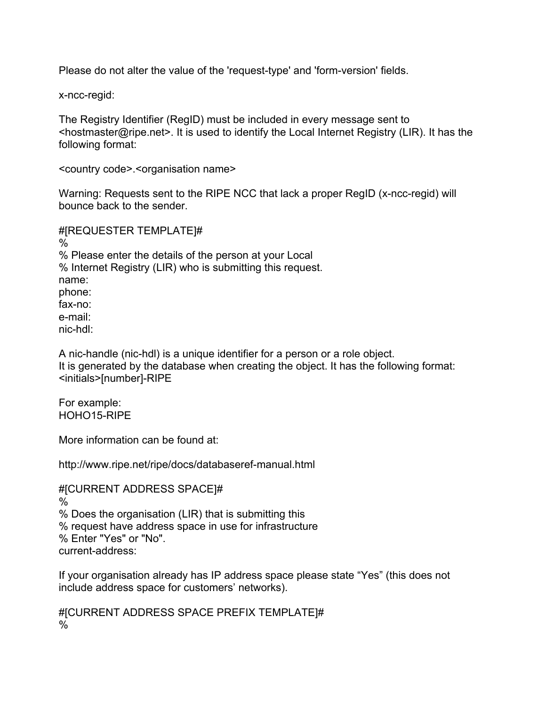Please do not alter the value of the 'request-type' and 'form-version' fields.

x-ncc-regid:

The Registry Identifier (RegID) must be included in every message sent to <hostmaster@ripe.net>. It is used to identify the Local Internet Registry (LIR). It has the following format:

<country code>.<organisation name>

Warning: Requests sent to the RIPE NCC that lack a proper RegID (x-ncc-regid) will bounce back to the sender.

#[REQUESTER TEMPLATE]#  $\frac{0}{6}$ % Please enter the details of the person at your Local % Internet Registry (LIR) who is submitting this request. name: phone: fax-no: e-mail: nic-hdl:

A nic-handle (nic-hdl) is a unique identifier for a person or a role object. It is generated by the database when creating the object. It has the following format: <initials>[number]-RIPE

For example: HOHO15-RIPE

More information can be found at:

http://www.ripe.net/ripe/docs/databaseref-manual.html

#[CURRENT ADDRESS SPACE]# % % Does the organisation (LIR) that is submitting this % request have address space in use for infrastructure % Enter "Yes" or "No". current-address:

If your organisation already has IP address space please state "Yes" (this does not include address space for customers' networks).

#[CURRENT ADDRESS SPACE PREFIX TEMPLATE]# %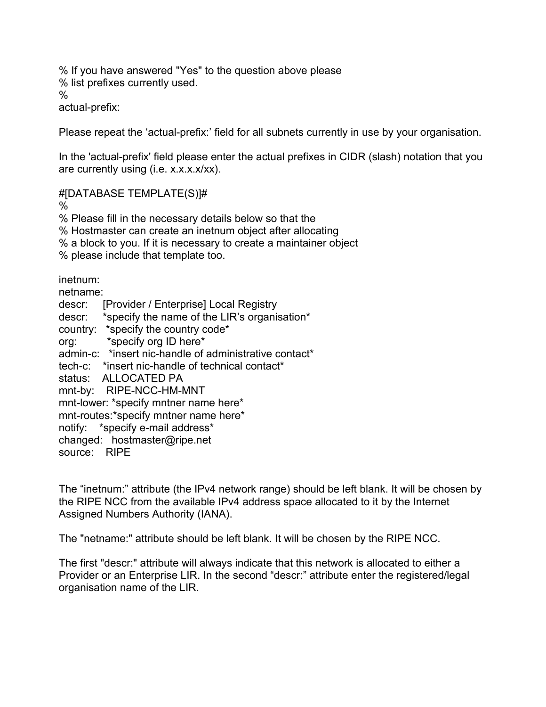% If you have answered "Yes" to the question above please % list prefixes currently used. % actual-prefix:

Please repeat the 'actual-prefix:' field for all subnets currently in use by your organisation.

In the 'actual-prefix' field please enter the actual prefixes in CIDR (slash) notation that you are currently using (i.e. x.x.x.x/xx).

#[DATABASE TEMPLATE(S)]#

%

% Please fill in the necessary details below so that the

% Hostmaster can create an inetnum object after allocating

% a block to you. If it is necessary to create a maintainer object

% please include that template too.

inetnum:

netname: descr: [Provider / Enterprise] Local Registry descr: \*specify the name of the LIR's organisation\* country: \*specify the country code\* org: \*specify org ID here\* admin-c: \*insert nic-handle of administrative contact\* tech-c: \*insert nic-handle of technical contact\* status: ALLOCATED PA mnt-by: RIPE-NCC-HM-MNT mnt-lower: \*specify mntner name here\* mnt-routes:\*specify mntner name here\*

notify: \*specify e-mail address\*

changed: hostmaster@ripe.net

source: RIPE

The "inetnum:" attribute (the IPv4 network range) should be left blank. It will be chosen by the RIPE NCC from the available IPv4 address space allocated to it by the Internet Assigned Numbers Authority (IANA).

The "netname:" attribute should be left blank. It will be chosen by the RIPE NCC.

The first "descr:" attribute will always indicate that this network is allocated to either a Provider or an Enterprise LIR. In the second "descr:" attribute enter the registered/legal organisation name of the LIR.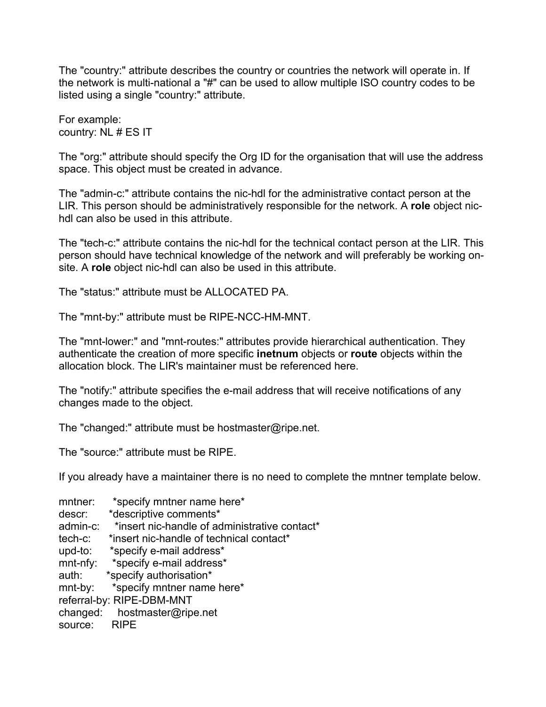The "country:" attribute describes the country or countries the network will operate in. If the network is multi-national a "#" can be used to allow multiple ISO country codes to be listed using a single "country:" attribute.

For example: country: NL # ES IT

The "org:" attribute should specify the Org ID for the organisation that will use the address space. This object must be created in advance.

The "admin-c:" attribute contains the nic-hdl for the administrative contact person at the LIR. This person should be administratively responsible for the network. A **role** object nichdl can also be used in this attribute.

The "tech-c:" attribute contains the nic-hdl for the technical contact person at the LIR. This person should have technical knowledge of the network and will preferably be working onsite. A **role** object nic-hdl can also be used in this attribute.

The "status:" attribute must be ALLOCATED PA.

The "mnt-by:" attribute must be RIPE-NCC-HM-MNT.

The "mnt-lower:" and "mnt-routes:" attributes provide hierarchical authentication. They authenticate the creation of more specific **inetnum** objects or **route** objects within the allocation block. The LIR's maintainer must be referenced here.

The "notify:" attribute specifies the e-mail address that will receive notifications of any changes made to the object.

The "changed:" attribute must be hostmaster@ripe.net.

The "source:" attribute must be RIPE.

If you already have a maintainer there is no need to complete the mntner template below.

mntner: \*specify mntner name here\* descr: \*descriptive comments\* admin-c: \*insert nic-handle of administrative contact\* tech-c: \*insert nic-handle of technical contact\* upd-to: \*specify e-mail address\* mnt-nfy: \*specify e-mail address\* auth: \*specify authorisation\* mnt-by: \*specify mntner name here\* referral-by: RIPE-DBM-MNT changed: hostmaster@ripe.net source: RIPE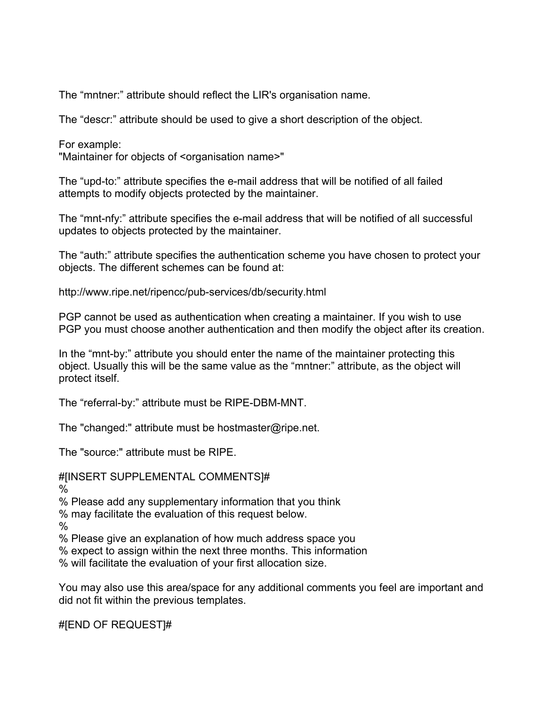The "mntner:" attribute should reflect the LIR's organisation name.

The "descr:" attribute should be used to give a short description of the object.

For example:

"Maintainer for objects of <organisation name>"

The "upd-to:" attribute specifies the e-mail address that will be notified of all failed attempts to modify objects protected by the maintainer.

The "mnt-nfy:" attribute specifies the e-mail address that will be notified of all successful updates to objects protected by the maintainer.

The "auth:" attribute specifies the authentication scheme you have chosen to protect your objects. The different schemes can be found at:

http://www.ripe.net/ripencc/pub-services/db/security.html

PGP cannot be used as authentication when creating a maintainer. If you wish to use PGP you must choose another authentication and then modify the object after its creation.

In the "mnt-by:" attribute you should enter the name of the maintainer protecting this object. Usually this will be the same value as the "mntner:" attribute, as the object will protect itself.

The "referral-by:" attribute must be RIPE-DBM-MNT.

The "changed:" attribute must be hostmaster@ripe.net.

The "source:" attribute must be RIPE.

#[INSERT SUPPLEMENTAL COMMENTS]#

%

% Please add any supplementary information that you think

% may facilitate the evaluation of this request below.

%

% Please give an explanation of how much address space you

% expect to assign within the next three months. This information

% will facilitate the evaluation of your first allocation size.

You may also use this area/space for any additional comments you feel are important and did not fit within the previous templates.

#[END OF REQUEST]#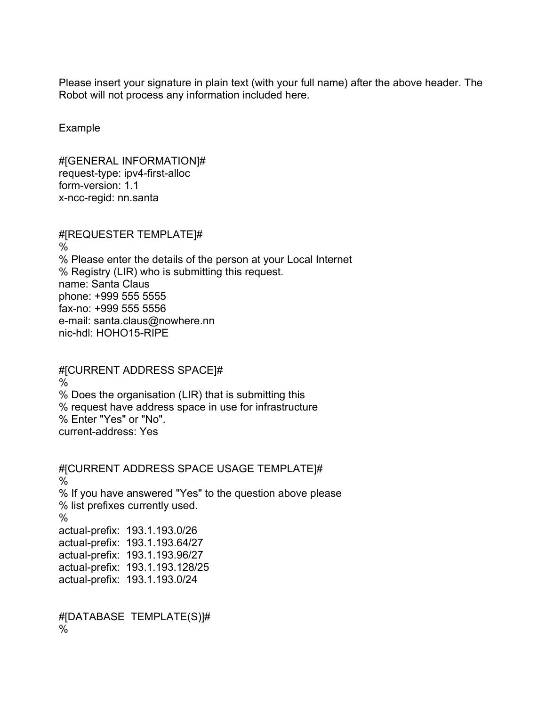Please insert your signature in plain text (with your full name) after the above header. The Robot will not process any information included here.

Example

#[GENERAL INFORMATION]# request-type: ipv4-first-alloc form-version: 1.1 x-ncc-regid: nn.santa

#[REQUESTER TEMPLATE]#  $\%$ % Please enter the details of the person at your Local Internet % Registry (LIR) who is submitting this request. name: Santa Claus phone: +999 555 5555 fax-no: +999 555 5556 e-mail: santa.claus@nowhere.nn nic-hdl: HOHO15-RIPE

#[CURRENT ADDRESS SPACE]# % % Does the organisation (LIR) that is submitting this % request have address space in use for infrastructure % Enter "Yes" or "No". current-address: Yes

#[CURRENT ADDRESS SPACE USAGE TEMPLATE]# % % If you have answered "Yes" to the question above please % list prefixes currently used.  $\frac{0}{0}$ actual-prefix: 193.1.193.0/26 actual-prefix: 193.1.193.64/27 actual-prefix: 193.1.193.96/27 actual-prefix: 193.1.193.128/25 actual-prefix: 193.1.193.0/24

#[DATABASE TEMPLATE(S)]# %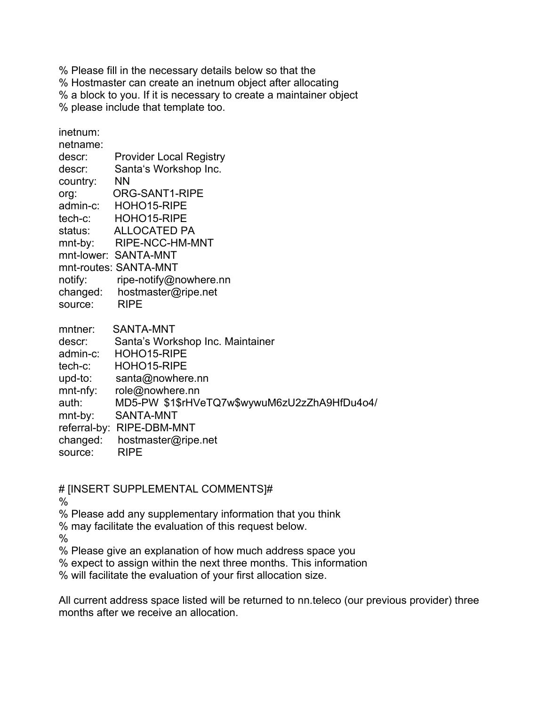% Please fill in the necessary details below so that the

% Hostmaster can create an inetnum object after allocating

% a block to you. If it is necessary to create a maintainer object

% please include that template too.

inetnum:

| netname: |                                |
|----------|--------------------------------|
| descr:   | <b>Provider Local Registry</b> |
| descr:   | Santa's Workshop Inc.          |
| country: | <b>NN</b>                      |
| org:     | ORG-SANT1-RIPE                 |
| admin-c: | HOHO15-RIPE                    |
| tech-c:  | HOHO15-RIPE                    |
| status:  | ALLOCATED PA                   |
| mnt-by:  | RIPE-NCC-HM-MNT                |
|          | mnt-lower: SANTA-MNT           |
|          | mnt-routes: SANTA-MNT          |
| notify:  | ripe-notify@nowhere.nn         |
| changed: | hostmaster@ripe.net            |
| source:  | <b>RIPE</b>                    |

| mntner:     | <b>SANTA-MNT</b>                             |
|-------------|----------------------------------------------|
| descr:      | Santa's Workshop Inc. Maintainer             |
| admin-c:    | HOHO15-RIPE                                  |
| tech-c:     | HOHO15-RIPE                                  |
| upd-to:     | santa@nowhere.nn                             |
| $mnt-nfy$ : | role@nowhere.nn                              |
| auth:       | MD5-PW \$1\$rHVeTQ7w\$wywuM6zU2zZhA9HfDu4o4/ |
| mnt-by:     | SANTA-MNT                                    |
|             | referral-by: RIPE-DBM-MNT                    |
| changed:    | hostmaster@ripe.net                          |
| source:     | <b>RIPE</b>                                  |
|             |                                              |

# [INSERT SUPPLEMENTAL COMMENTS]#

%

% Please add any supplementary information that you think

% may facilitate the evaluation of this request below.

%

% Please give an explanation of how much address space you

% expect to assign within the next three months. This information

% will facilitate the evaluation of your first allocation size.

All current address space listed will be returned to nn.teleco (our previous provider) three months after we receive an allocation.